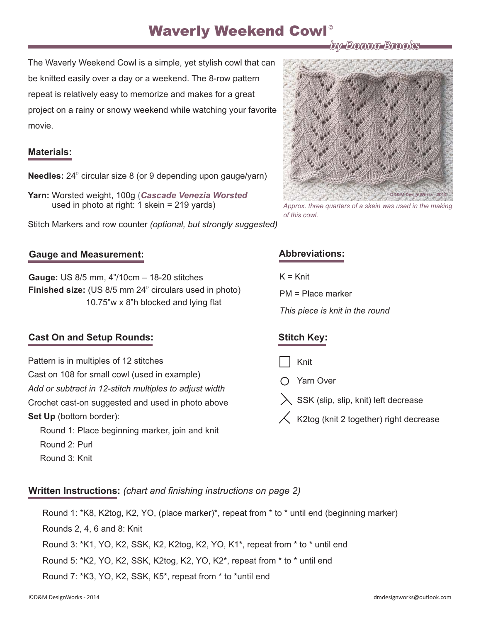# Waverly Weekend Cowl<sup>®</sup>

The Waverly Weekend Cowl is a simple, yet stylish cowl that can be knitted easily over a day or a weekend. The 8-row pattern repeat is relatively easy to memorize and makes for a great project on a rainy or snowy weekend while watching your favorite movie.

#### **Materials:**

**Needles:** 24" circular size 8 (or 9 depending upon gauge/yarn)

**Yarn:** Worsted weight, 100g (*[Cascade Venezia Worsted](http://www.cascadeyarns.com/cascade-VeneziaWorsted.asp)* used in photo at right: 1 skein = 219 yards)

Stitch Markers and row counter *(optional, but strongly suggested)*

#### **Gauge and Measurement:**

**Gauge:** US 8/5 mm, 4"/10cm – 18-20 stitches **Finished size:** (US 8/5 mm 24" circulars used in photo) 10.75"w x 8"h blocked and lying flat

### **Cast On and Setup Rounds:**

Pattern is in multiples of 12 stitches Cast on 108 for small cowl (used in example) Crochet cast-on suggested and used in photo above Set Up (bottom border): *Add or subtract in 12-stitch multiples to adjust width*

Round 1: Place beginning marker, join and knit Round 2: Purl Round 3: Knit

## **Abbreviations:**

 $K = Knit$ 

*of this cowl.*

PM = Place marker

*This piece is knit in the round*

# **Stitch Key:**

Knit

- Yarn Over
- SSK (slip, slip, knit) left decrease
- $\zeta$  K2tog (knit 2 together) right decrease

**Written Instructions:** *(chart and finishing instructions on page 2)*

Round 1: \*K8, K2tog, K2, YO, (place marker)\*, repeat from \* to \* until end (beginning marker)

Rounds 2, 4, 6 and 8: Knit

Round 3: \*K1, YO, K2, SSK, K2, K2tog, K2, YO, K1\*, repeat from \* to \* until end

Round 5: \*K2, YO, K2, SSK, K2tog, K2, YO, K2\*, repeat from \* to \* until end

Round 7: \*K3, YO, K2, SSK, K5\*, repeat from \* to \*until end



*by Donna Brooks by Donna*